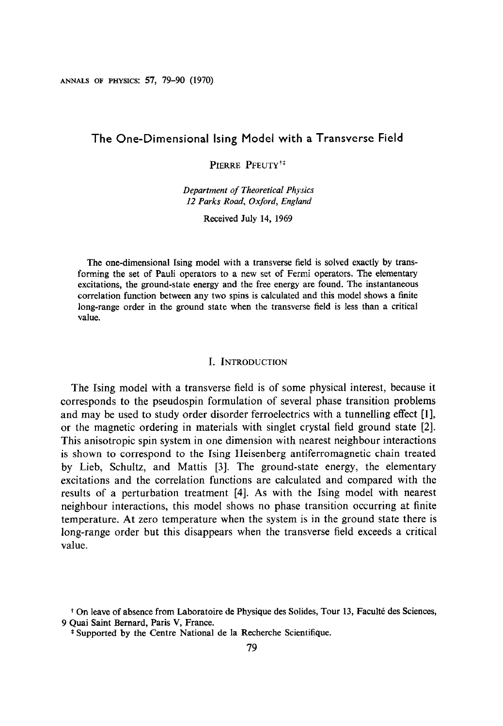ANNALS OF PHYSICS: 57, 79-90 (1970)

## The One-Dimensional king Model with a Transverse Field

PIERRE PFEUTY<sup>†</sup>

Department of Theoretical Physics 12 Parks Road, Oxford, Engiand

Received July 14, 1969

The one-dimensional Ising model with a transverse field is solved exactly by transforming the set of Pauli operators to a new set of Fermi operators. The elementary excitations, the ground-state energy and the free energy are found. The instantaneous correlation function between any two spins is calculated and this model shows a finite long-range order in the ground state when the transverse field is less than a critical value.

#### I. INTRODUCTION

The Ising model with a transverse field is of some physical interest, because it corresponds to the pseudospin formulation of several phase transition problems and may be used to study order disorder ferroelectrics with a tunnelling effect [l], or the magnetic ordering in materials with singlet crystal field ground state [2]. This anisotropic spin system in one dimension with nearest neighbour interactions is shown to correspond to the Ising Heisenberg antiferromagnetic chain treated by Lieb, Schultz, and Mattis [3]. The ground-state energy, the elementary excitations and the correlation functions are calculated and compared with the results of a perturbation treatment [4]. As with the Ising model with nearest neighbour interactions, this model shows no phase transition occurring at finite temperature. At zero temperature when the system is in the ground state there is long-range order but this disappears when the transverse field exceeds a critical value.

<sup>&</sup>lt;sup>+</sup> On leave of absence from Laboratoire de Physique des Solides, Tour 13, Faculté des Sciences, 9 Quai Saint Bernard, Paris V, France.

<sup>\*</sup> Supported by the Centre National de la Recherche Scientifique.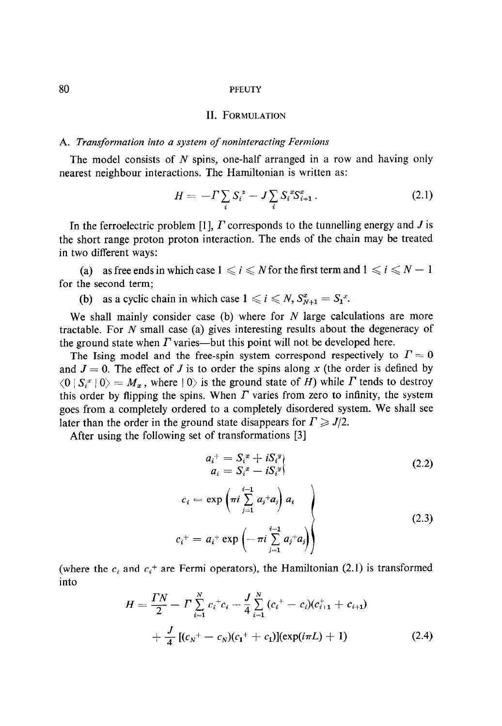80 PFEUTY

#### II. FORMULATION

## A. Transformation into a system of noninteracting Fermions

The model consists of N spins, one-half arranged in a row and having only nearest neighbour interactions. The Hamiltonian is written as:

$$
H = -\Gamma \sum_{i} S_{i}^{2} - J \sum_{i} S_{i}^{x} S_{i+1}^{x} . \qquad (2.1)
$$

In the ferroelectric problem [1],  $\Gamma$  corresponds to the tunnelling energy and  $\Gamma$  is the short range proton proton interaction. The ends of the chain may be treated in two different ways:

(a) as free ends in which case  $1 \le i \le N$  for the first term and  $1 \le i \le N - 1$ for the second term;

(b) as a cyclic chain in which case  $1 \leq i \leq N$ ,  $S_{N+1}^x = S_1^x$ .

We shall mainly consider case (b) where for  $N$  large calculations are more tractable. For  $N$  small case (a) gives interesting results about the degeneracy of the ground state when  $\Gamma$  varies—but this point will not be developed here.

The Ising model and the free-spin system correspond respectively to  $\Gamma = 0$ and  $J = 0$ . The effect of J is to order the spins along x (the order is defined by  $\langle 0 | S_i^x | 0 \rangle = M_x$ , where  $| 0 \rangle$  is the ground state of H) while  $\Gamma$  tends to destroy this order by flipping the spins. When  $\Gamma$  varies from zero to infinity, the system goes from a completely ordered to a completely disordered system. We shall see later than the order in the ground state disappears for  $\Gamma \geq J/2$ .

After using the following set of transformations [3]

 $c_{\lambda}$  =

$$
a_i^+ = S_i^x + iS_i^y
$$
  
\n
$$
a_i = S_i^x - iS_i^y
$$
  
\n
$$
= \exp\left(\pi i \sum_{i=1}^{i-1} a_i + a_i\right) a_i
$$
\n(2.2)

$$
c_i^+ = a_i^+ \exp\left(-\pi i \sum_{j=1}^{i-1} a_j^+ a_j\right)
$$
 (2.3)

 $($  the city circuit city are Fermi operators), the Hamiltonian  $(2,1)$  is transformed into

$$
H = \frac{TN}{2} - \Gamma \sum_{i=1}^{N} c_i^+ c_i - \frac{J}{4} \sum_{i=1}^{N} (c_i^+ - c_i)(c_{i+1}^+ + c_{i+1}) + \frac{J}{4} [(c_N^+ - c_N)(c_1^+ + c_1)](\exp(i\pi L) + 1)
$$
 (2.4)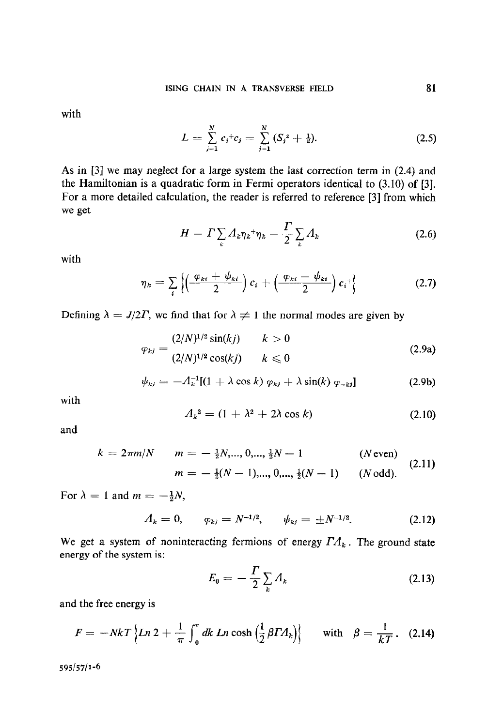with

$$
L = \sum_{j=1}^{N} c_j^+ c_j = \sum_{j=1}^{N} (S_j^z + \tfrac{1}{2}). \tag{2.5}
$$

As in [3] we may neglect for a large system the last correction term in (2.4) and the Hamiltonian is a quadratic form in Fermi operators identical to (3.10) of [3]. For a more detailed calculation, the reader is referred to reference [3] from which we get

$$
H = \Gamma \sum_{k} A_{k} \eta_{k} + \eta_{k} - \frac{\Gamma}{2} \sum_{k} A_{k} \tag{2.6}
$$

with

$$
\eta_k = \sum_i \left\{ \left( \frac{\varphi_{ki} + \psi_{ki}}{2} \right) c_i + \left( \frac{\varphi_{ki} - \psi_{ki}}{2} \right) c_i^+ \right\} \tag{2.7}
$$

Defining  $\lambda = J/2\Gamma$ , we find that for  $\lambda \neq 1$  the normal modes are given by

$$
\varphi_{kj} = \frac{(2/N)^{1/2} \sin(kj)}{(2/N)^{1/2} \cos(kj)} \qquad k > 0
$$
\n(2.9a)

$$
\psi_{kj} = -A_k^{-1}[(1 + \lambda \cos k) \varphi_{kj} + \lambda \sin(k) \varphi_{-kj}] \qquad (2.9b)
$$

with

$$
A_k^2 = (1 + \lambda^2 + 2\lambda \cos k) \tag{2.10}
$$

and

$$
k = 2\pi m/N \qquad m = -\frac{1}{2}N, ..., 0, ..., \frac{1}{2}N - 1 \qquad (N \text{ even})
$$

$$
m = -\frac{1}{2}(N - 1), ..., 0, ..., \frac{1}{2}(N - 1) \qquad (N \text{ odd}). \tag{2.11}
$$

For  $\lambda = 1$  and  $m = -\frac{1}{2}N$ ,

$$
A_k = 0, \qquad \varphi_{kj} = N^{-1/2}, \qquad \psi_{kj} = \pm N^{-1/2}.
$$
 (2.12)

We get a system of noninteracting fermions of energy  $\Gamma A_k$ . The ground state energy of the system is:

$$
E_0 = -\frac{\Gamma}{2} \sum_k \Lambda_k \tag{2.13}
$$

and the free energy is

$$
F = -NkT \left\{ Ln 2 + \frac{1}{\pi} \int_0^{\pi} dk Ln \cosh \left( \frac{1}{2} \beta T A_k \right) \right\} \quad \text{with} \quad \beta = \frac{1}{kT}. \quad (2.14)
$$

 $595/57/1-6$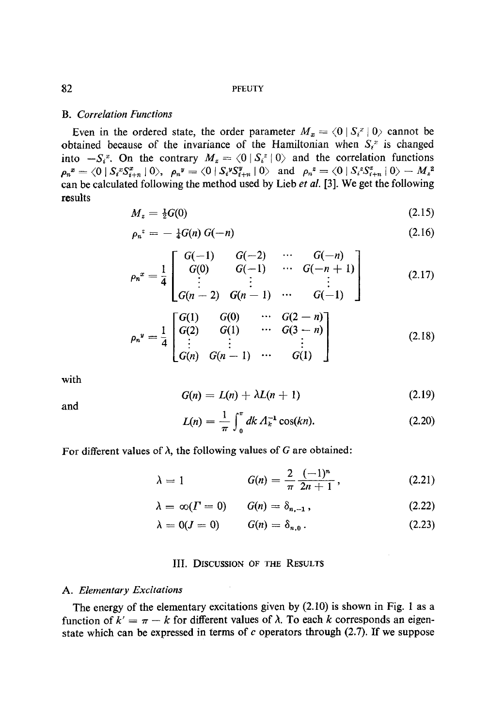#### B. Correlation Functions

Even in the ordered state, the order parameter  $M_x = \langle 0 | S_i^x | 0 \rangle$  cannot be obtained because of the invariance of the Hamiltonian when  $S_i^x$  is changed into  $-S_i^x$ . On the contrary  $M_z = \langle 0 | S_i^z | 0 \rangle$  and the correlation functions  $\rho_n^{\;\;x} = \langle 0 \, | \, S_i^{\;\;x} S_{i+n}^x \, | \, 0 \rangle, \;\; \rho_n^{\;\;y} = \langle 0 \, | \, S_i^{\;\;y} S_{i+n}^y \, | \, 0 \rangle \;\; \text{ and } \;\; \rho_n^{\;\;z} = \langle 0 \, | \, S_i^{\;\;z} S_{i+n}^z \, | \, 0 \rangle - M_z^{\;\;z}$ can be calculated following the method used by Lieb et al. [3]. We get the following results

$$
M_z = \frac{1}{2}G(0) \tag{2.15}
$$

$$
\rho_n^2 = -\tfrac{1}{4} G(n) G(-n) \tag{2.16}
$$

$$
\rho_n^x = \frac{1}{4} \begin{bmatrix} G(-1) & G(-2) & \cdots & G(-n) \\ G(0) & G(-1) & \cdots & G(-n+1) \\ \vdots & \vdots & \ddots & \vdots \\ G(n-2) & G(n-1) & \cdots & G(-1) \end{bmatrix} \tag{2.17}
$$

$$
\rho_n^{\nu} = \frac{1}{4} \begin{bmatrix} G(1) & G(0) & \cdots & G(2-n) \\ G(2) & G(1) & \cdots & G(3-n) \\ \vdots & \vdots & & \vdots \\ G(n) & G(n-1) & \cdots & G(1) \end{bmatrix} \tag{2.18}
$$

with

$$
G(n) = L(n) + \lambda L(n+1) \qquad (2.19)
$$

and

$$
L(n) = \frac{1}{\pi} \int_0^{\pi} dk \, \Lambda_k^{-1} \cos(kn). \tag{2.20}
$$

For different values of  $\lambda$ , the following values of G are obtained:

$$
\lambda = 1 \qquad G(n) = \frac{2}{\pi} \frac{(-1)^n}{2n+1}, \qquad (2.21)
$$

$$
\lambda = \infty(\Gamma = 0) \qquad G(n) = \delta_{n,-1}, \qquad (2.22)
$$

$$
\lambda = 0(J = 0) \qquad G(n) = \delta_{n,0} \,. \tag{2.23}
$$

## III. DISCUSSION OF THE RESULTS

#### A. Elementary Excitations

The energy of the elementary excitations given by (2.10) is shown in Fig. 1 as a function of  $k' = \pi - k$  for different values of  $\lambda$ . To each k corresponds an eigenstate which can be expressed in terms of  $c$  operators through (2.7). If we suppose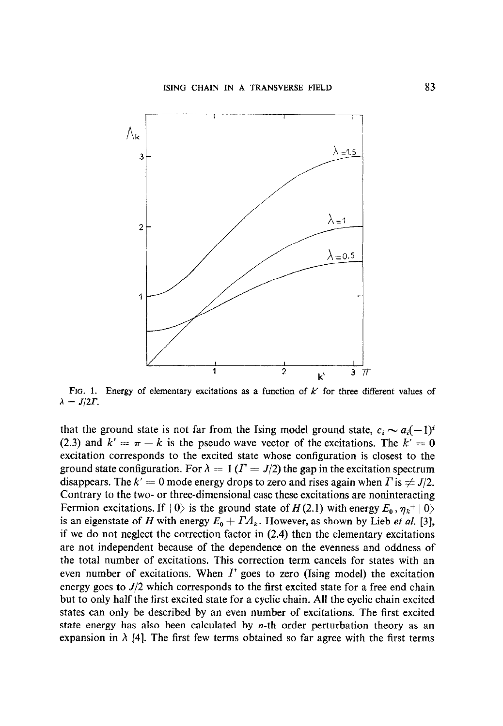

FIG. 1. Energy of elementary excitations as a function of  $k'$  for three different values of  $\lambda = J/2\Gamma$ .

that the ground state is not far from the Ising model ground state,  $c_i \sim a_i(-1)^i$ (2.3) and  $k' = \pi - k$  is the pseudo wave vector of the excitations. The  $k' = 0$ excitation corresponds to the excited state whose configuration is closest to the ground state configuration. For  $\lambda = 1$  ( $\Gamma = J/2$ ) the gap in the excitation spectrum disappears. The  $k' = 0$  mode energy drops to zero and rises again when  $\Gamma$  is  $\neq J/2$ . Contrary to the two- or three-dimensional case these excitations are noninteracting Fermion excitations. If  $|0\rangle$  is the ground state of  $H(2.1)$  with energy  $E_0$ ,  $\eta_k^+ |0\rangle$ is an eigenstate of H with energy  $E_0 + I A_k$ . However, as shown by Lieb et al. [3], if we do not neglect the correction factor in (2.4) then the elementary excitations are not independent because of the dependence on the evenness and oddness of the total number of excitations. This correction term cancels for states with an even number of excitations. When  $\Gamma$  goes to zero (Ising model) the excitation energy goes to  $J/2$  which corresponds to the first excited state for a free end chain but to only half the first excited state for a cyclic chain. All the cyclic chain excited states can only be described by an even number of excitations. The first excited state energy has also been calculated by  $n$ -th order perturbation theory as an expansion in  $\lambda$  [4]. The first few terms obtained so far agree with the first terms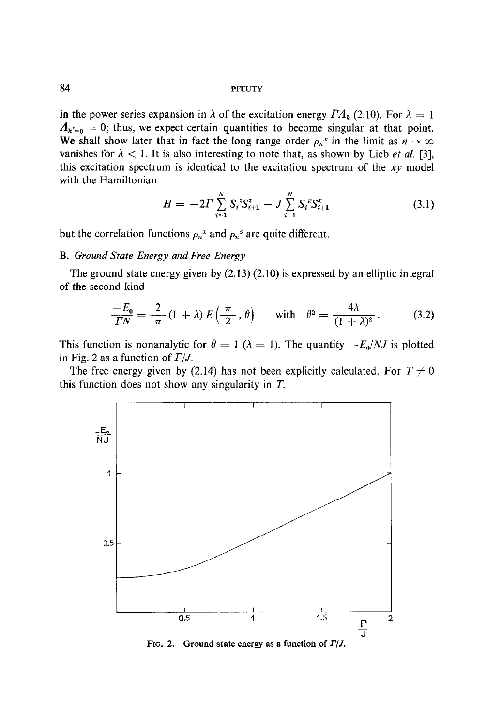84 PFEUTY

in the power series expansion in  $\lambda$  of the excitation energy  $\Gamma A_k$  (2.10). For  $\lambda = 1$  $A_{k'=0}=0$ ; thus, we expect certain quantities to become singular at that point. We shall show later that in fact the long range order  $\rho_n^x$  in the limit as  $n \to \infty$ vanishes for  $\lambda < 1$ . It is also interesting to note that, as shown by Lieb *et al.* [3], this excitation spectrum is identical to the excitation spectrum of the  $xy$  model with the Hamiltonian

$$
H = -2\Gamma \sum_{i=1}^{N} S_i^z S_{i+1}^z - J \sum_{i=1}^{N} S_i^x S_{i+1}^x \tag{3.1}
$$

but the correlation functions  $\rho_n^x$  and  $\rho_n^z$  are quite different.

## B. Ground State Energy and Free Energy

The ground state energy given by (2.13) (2.10) is expressed by an elliptic integral of the second kind

$$
\frac{-E_0}{TN} = \frac{2}{\pi} (1 + \lambda) E\left(\frac{\pi}{2}, \theta\right) \quad \text{with} \quad \theta^2 = \frac{4\lambda}{(1 + \lambda)^2}.
$$
 (3.2)

This function is nonanalytic for  $\theta = 1$  ( $\lambda = 1$ ). The quantity  $-E_0/NJ$  is plotted in Fig. 2 as a function of  $\Gamma/J$ .

The free energy given by (2.14) has not been explicitly calculated. For  $T \neq 0$ this function does not show any singularity in T.



FIG. 2. Ground state energy as a function of  $\Gamma/J$ .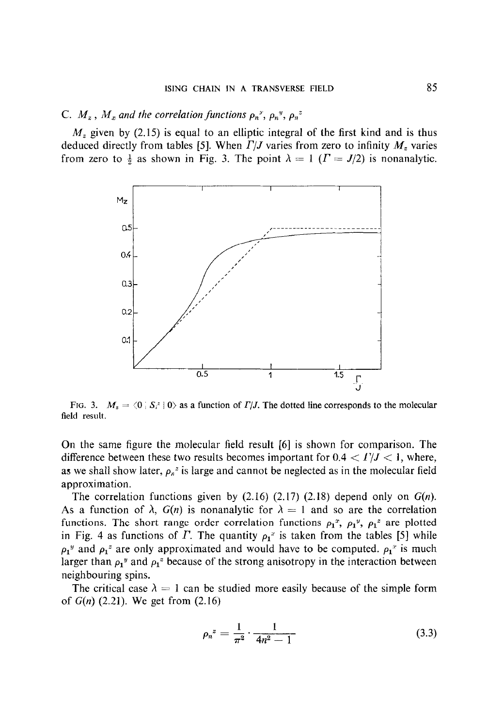## C.  $M_z$ ,  $M_x$  and the correlation functions  $\rho_n^y$ ,  $\rho_n^y$ ,  $\rho_n^z$

 $M<sub>z</sub>$  given by (2.15) is equal to an elliptic integral of the first kind and is thus deduced directly from tables [5]. When  $\Gamma/J$  varies from zero to infinity  $M_z$  varies from zero to  $\frac{1}{2}$  as shown in Fig. 3. The point  $\lambda = 1$  ( $\Gamma = J/2$ ) is nonanalytic.



FIG. 3.  $M_z = \langle 0 | S_i^2 | 0 \rangle$  as a function of  $\Gamma/J$ . The dotted line corresponds to the molecular field result.

On the same figure the molecular field result [6] is shown for comparison. The difference between these two results becomes important for  $0.4 < \Gamma/J < 1$ , where, as we shall show later,  $\rho_n^2$  is large and cannot be neglected as in the molecular field approximation,

The correlation functions given by  $(2.16)$   $(2.17)$   $(2.18)$  depend only on  $G(n)$ . As a function of  $\lambda$ ,  $G(n)$  is nonanalytic for  $\lambda = 1$  and so are the correlation functions. The short range order correlation functions  $\rho_1^x$ ,  $\rho_1^y$ ,  $\rho_1^z$  are plotted in Fig. 4 as functions of  $\Gamma$ . The quantity  $\rho_1^x$  is taken from the tables [5] while  $\rho_1^y$  and  $\rho_1^z$  are only approximated and would have to be computed.  $\rho_1^x$  is much larger than  $\rho_1$ <sup>"</sup> and  $\rho_1$ <sup>"</sup> because of the strong anisotropy in the interaction between neighbouring spins.

The critical case  $\lambda = 1$  can be studied more easily because of the simple form of  $G(n)$  (2.21). We get from  $(2.16)$ 

$$
\rho_n^2 = \frac{1}{\pi^2} \cdot \frac{1}{4n^2 - 1} \tag{3.3}
$$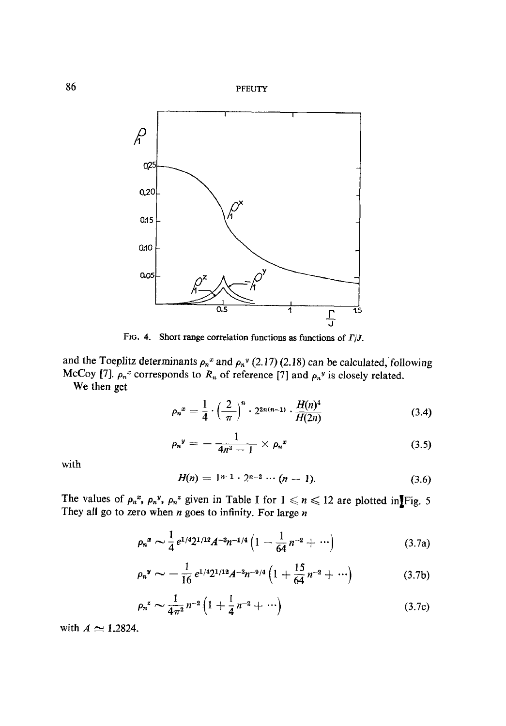



FIG. 4. Short range correlation functions as functions of  $\Gamma/J$ .

and the Toeplitz determinants  $\rho_n^x$  and  $\rho_n^y$  (2.17) (2.18) can be calculated, following McCoy [7].  $\rho_n^x$  corresponds to  $R_n$  of reference [7] and  $\rho_n^y$  is closely related. We then get

$$
\rho_n^x = \frac{1}{4} \cdot \left(\frac{2}{\pi}\right)^n \cdot 2^{2n(n-1)} \cdot \frac{H(n)^4}{H(2n)} \tag{3.4}
$$

$$
\rho_n^y = -\frac{1}{4n^2-1} \times \rho_n^x \tag{3.5}
$$

with

$$
H(n) = 1^{n-1} \cdot 2^{n-2} \cdots (n-1). \tag{3.6}
$$

The values of  $\rho_n^*$ ,  $\rho_n^*$ ,  $\rho_n^*$  given in Table I for  $1 \le n \le 12$  are plotted in Fig. 5 They all go to zero when  $n$  goes to infinity. For large  $n$ 

$$
\rho_n^{\alpha} \sim \frac{1}{4} e^{1/4} 2^{1/12} A^{-3} n^{-1/4} \left( 1 - \frac{1}{64} n^{-2} + \cdots \right) \tag{3.7a}
$$

$$
\rho_n^{\nu} \sim -\frac{1}{16} e^{1/4} 2^{1/12} A^{-3} n^{-9/4} \left( 1 + \frac{15}{64} n^{-2} + \cdots \right) \tag{3.7b}
$$

$$
\rho_n^2 \sim \frac{1}{4\pi^2} n^{-2} \left( 1 + \frac{1}{4} n^{-2} + \cdots \right) \tag{3.7c}
$$

with  $A \simeq 1.2824$ .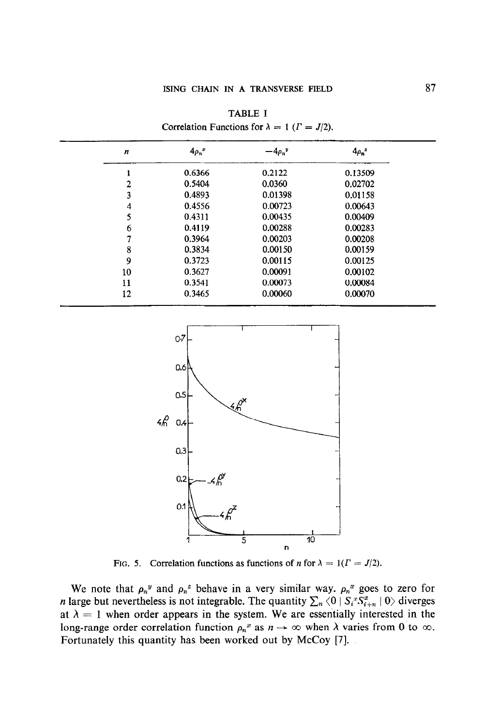TABLE I Correlation Functions for  $\lambda = 1$  ( $\Gamma = J/2$ ).

| $\boldsymbol{n}$ | $4\rho_n^x$ | $-4\rho_n{}^y$ | $4\rho_n^2$ |
|------------------|-------------|----------------|-------------|
|                  | 0.6366      | 0.2122         | 0.13509     |
| 2                | 0.5404      | 0.0360         | 0.02702     |
| 3                | 0.4893      | 0.01398        | 0.01158     |
| 4                | 0.4556      | 0.00723        | 0.00643     |
| 5                | 0.4311      | 0.00435        | 0.00409     |
| 6                | 0.4119      | 0.00288        | 0.00283     |
|                  | 0.3964      | 0.00203        | 0.00208     |
| 8                | 0.3834      | 0.00150        | 0.00159     |
| 9                | 0.3723      | 0.00115        | 0.00125     |
| 10               | 0.3627      | 0.00091        | 0.00102     |
| 11               | 0.3541      | 0.00073        | 0.00084     |
| 12               | 0.3465      | 0.00060        | 0.00070     |



FIG. 5. Correlation functions as functions of *n* for  $\lambda = 1$  ( $\Gamma = J/2$ ).

We note that  $\rho_n^y$  and  $\rho_n^z$  behave in a very similar way.  $\rho_n^x$  goes to zero for *n* large but nevertheless is not integrable. The quantity  $\sum_n \langle 0 | S_i^x S_{i+n}^x | 0 \rangle$  diverges at  $\lambda = 1$  when order appears in the system. We are essentially interested in the long-range order correlation function  $\rho_n^x$  as  $n \to \infty$  when  $\lambda$  varies from 0 to  $\infty$ . Fortunately this quantity has been worked out by McCoy [7].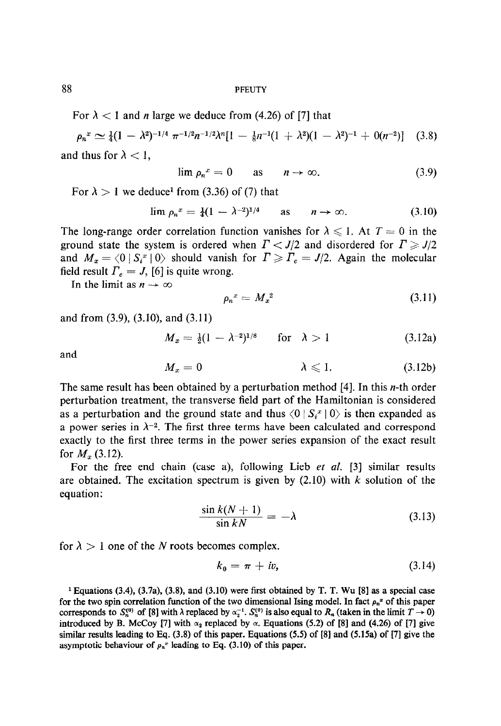For  $\lambda$  < 1 and *n* large we deduce from (4.26) of [7] that

$$
\rho_n^x \simeq \frac{1}{4}(1 - \lambda^2)^{-1/4} \pi^{-1/2} n^{-1/2} \lambda^n [1 - \frac{1}{8} n^{-1} (1 + \lambda^2)(1 - \lambda^2)^{-1} + 0(n^{-2})] \quad (3.8)
$$
  
and thus for  $\lambda < 1$ ,

$$
\lim \rho_n^x = 0 \qquad \text{as} \qquad n \to \infty. \tag{3.9}
$$

For  $\lambda > 1$  we deduce<sup>1</sup> from (3.36) of (7) that

$$
\lim \rho_n^x = \frac{1}{4}(1 - \lambda^{-2})^{1/4} \quad \text{as} \quad n \to \infty. \tag{3.10}
$$

The long-range order correlation function vanishes for  $\lambda \leq 1$ . At  $T = 0$  in the ground state the system is ordered when  $\Gamma < J/2$  and disordered for  $\Gamma \geq J/2$ and  $M_x = \langle 0 | S_i^x | 0 \rangle$  should vanish for  $\Gamma \ge \Gamma_c = J/2$ . Again the molecular field result  $\Gamma_c = J$ , [6] is quite wrong.

In the limit as  $n \to \infty$ 

$$
\rho_n^{\ x} = M_x^{\ 2} \tag{3.11}
$$

and from (3.9), (3.10), and (3.11)

$$
M_x = \frac{1}{2}(1 - \lambda^{-2})^{1/8} \quad \text{for} \quad \lambda > 1 \tag{3.12a}
$$

and

$$
M_x = 0 \qquad \qquad \lambda \leqslant 1. \qquad (3.12b)
$$

The same result has been obtained by a perturbation method  $[4]$ . In this *n*-th order perturbation treatment, the transverse field part of the Hamiltonian is considered as a perturbation and the ground state and thus  $\langle 0 | S_i^x | 0 \rangle$  is then expanded as a power series in  $\lambda^{-2}$ . The first three terms have been calculated and correspond exactly to the first three terms in the power series expansion of the exact result for  $M_{x}$  (3.12).

For the free end chain (case a), following Lieb et al. [3] similar results are obtained. The excitation spectrum is given by  $(2.10)$  with k solution of the equation:

$$
\frac{\sin k(N+1)}{\sin kN} = -\lambda \tag{3.13}
$$

for  $\lambda > 1$  one of the N roots becomes complex.

$$
k_0 = \pi + iv,\tag{3.14}
$$

1 Equations (3.4), (3.7a), (3.8), and (3.10) were first obtained by T. T. Wu [8] as a special case  $f_{\text{equations}}(3.4)$ ,  $(3.4a)$ ,  $(3.6)$ , and  $(3.10)$  were the obtained by 1.11. We foll as a special case for the two spin correlation function of the two differential tsing inoder, in fact  $p_n$  of this paper corresponds to  $S_n^{(0)}$  of [8] with  $\lambda$  replaced by  $\alpha_2^{-1}$ .  $S_n^{(0)}$  is also equal to  $R_n$  (taken in the limit  $T \to 0$ ) introduced by B. McCoy [7] with  $\alpha_2$  replaced by  $\alpha$ . Equations (5.2) of [8] and (4.26) of [7] give similar results leading to Eq. (3.8) of this paper. Equations (5.5) of [8] and (5.15a) of [7] give the asymptotic behaviour of  $\rho_n^x$  leading to Eq. (3.10) of this paper.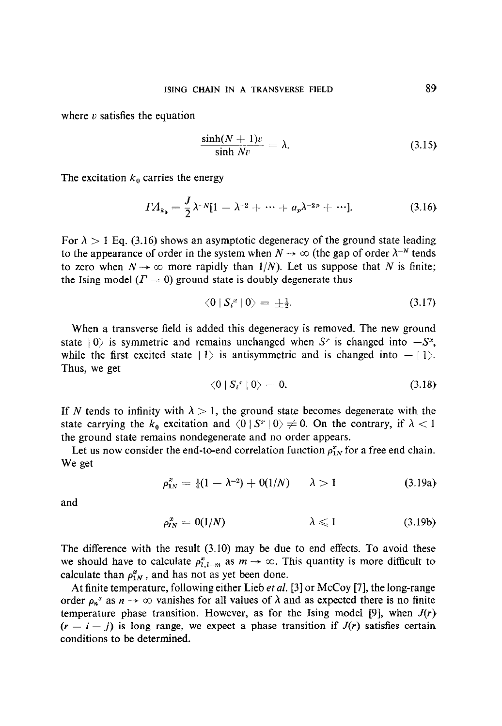where  $v$  satisfies the equation

$$
\frac{\sinh(N+1)v}{\sinh Nv} = \lambda.
$$
 (3.15)

The excitation  $k_0$  carries the energy

$$
\Gamma A_{k_0} = \frac{J}{2} \lambda^{-N} [1 - \lambda^{-2} + \dots + a_p \lambda^{-2p} + \dots]. \tag{3.16}
$$

For  $\lambda > 1$  Eq. (3.16) shows an asymptotic degeneracy of the ground state leading to the appearance of order in the system when  $N \to \infty$  (the gap of order  $\lambda^{-N}$  tends to zero when  $N \rightarrow \infty$  more rapidly than  $1/N$ ). Let us suppose that N is finite; the Ising model  $(T = 0)$  ground state is doubly degenerate thus

$$
\langle 0 | S_i^x | 0 \rangle = \pm \tfrac{1}{2}.
$$
\n
$$
(3.17)
$$

When a transverse field is added this degeneracy is removed. The new ground state  $|0\rangle$  is symmetric and remains unchanged when  $S^r$  is changed into  $-S^r$ , while the first excited state  $|1\rangle$  is antisymmetric and is changed into  $-|1\rangle$ . Thus, we get

$$
\langle 0 | S_i^x | 0 \rangle = 0. \tag{3.18}
$$

If N tends to infinity with  $\lambda > 1$ , the ground state becomes degenerate with the state carrying the  $k_0$  excitation and  $\langle 0 | S^x | 0 \rangle \neq 0$ . On the contrary, if  $\lambda < 1$ the ground state remains nondegenerate and no order appears.

Let us now consider the end-to-end correlation function  $\rho_{1N}^x$  for a free end chain. We get

$$
\rho_{1N}^x = \frac{1}{4}(1 - \lambda^{-2}) + O(1/N) \qquad \lambda > 1 \tag{3.19a}
$$

and

$$
\rho_{IN}^x = 0(1/N) \qquad \lambda \leqslant 1 \qquad (3.19b)
$$

The difference with the result (3.10) may be due to end effects. To avoid these we should have to calculate  $\rho_{l,t+m}^*$  as  $m \to \infty$ . This quantity is more difficult to calculate than  $\rho_{1N}^x$ , and has not as yet been done.

At finite temperature, following either Lieb et al. [3] or McCoy [7], the long-range order  $\rho_n^x$  as  $n \to \infty$  vanishes for all values of  $\lambda$  and as expected there is no finite temperature phase transition. However, as for the Ising model [9], when  $J(r)$  $(r = i - j)$  is long range, we expect a phase transition if  $J(r)$  satisfies certain conditions to be determined.